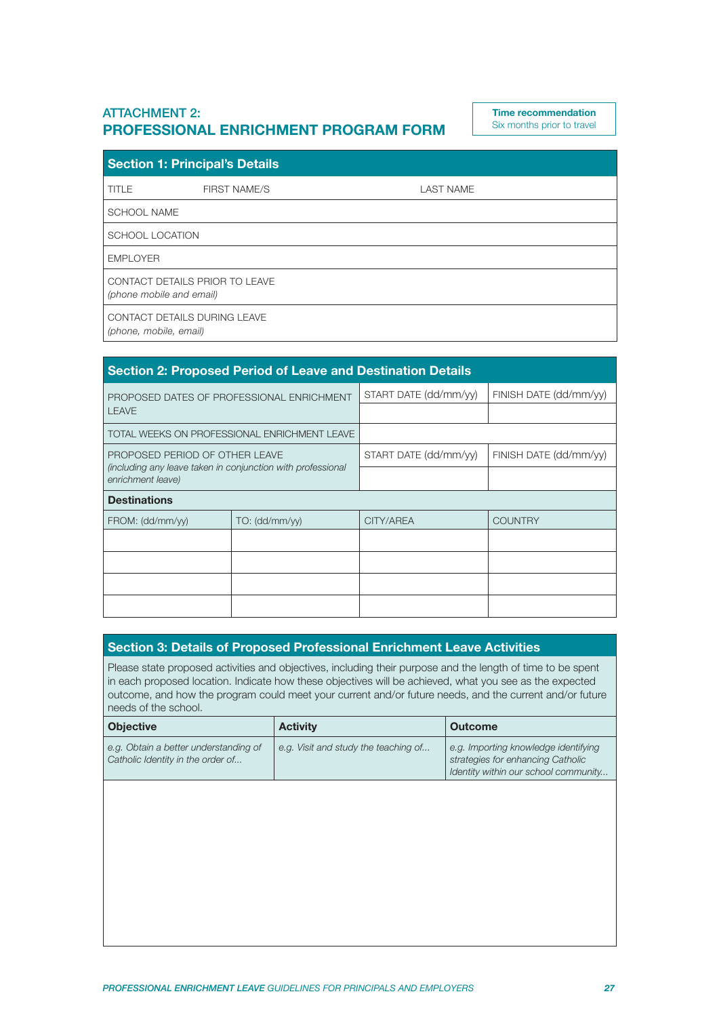## ATTACHMENT 2: **PROFESSIONAL ENRICHMENT PROGRAM FORM**

**Time recommendation** Six months prior to travel

| <b>Section 1: Principal's Details</b>                      |                     |                  |
|------------------------------------------------------------|---------------------|------------------|
| TITLE                                                      | <b>FIRST NAME/S</b> | <b>LAST NAME</b> |
| <b>SCHOOL NAME</b>                                         |                     |                  |
| <b>SCHOOL LOCATION</b>                                     |                     |                  |
| <b>EMPLOYER</b>                                            |                     |                  |
| CONTACT DETAILS PRIOR TO LEAVE<br>(phone mobile and email) |                     |                  |
| CONTACT DETAILS DURING LEAVE<br>(phone, mobile, email)     |                     |                  |

| <b>Section 2: Proposed Period of Leave and Destination Details</b>               |                |                       |                        |
|----------------------------------------------------------------------------------|----------------|-----------------------|------------------------|
| PROPOSED DATES OF PROFESSIONAL ENRICHMENT                                        |                | START DATE (dd/mm/yy) | FINISH DATE (dd/mm/yy) |
| <b>LEAVE</b>                                                                     |                |                       |                        |
| TOTAL WEEKS ON PROFESSIONAL ENRICHMENT LEAVE                                     |                |                       |                        |
| PROPOSED PERIOD OF OTHER LEAVE                                                   |                | START DATE (dd/mm/yy) | FINISH DATE (dd/mm/yy) |
| (including any leave taken in conjunction with professional<br>enrichment leave) |                |                       |                        |
| <b>Destinations</b>                                                              |                |                       |                        |
| FROM: (dd/mm/yy)                                                                 | TO: (dd/mm/vv) | CITY/AREA             | <b>COUNTRY</b>         |
|                                                                                  |                |                       |                        |
|                                                                                  |                |                       |                        |
|                                                                                  |                |                       |                        |
|                                                                                  |                |                       |                        |

## **Section 3: Details of Proposed Professional Enrichment Leave Activities**

Please state proposed activities and objectives, including their purpose and the length of time to be spent in each proposed location. Indicate how these objectives will be achieved, what you see as the expected outcome, and how the program could meet your current and/or future needs, and the current and/or future needs of the school.

| <b>Objective</b>                                                           | <b>Activity</b>                      | Outcome                                                                                                           |
|----------------------------------------------------------------------------|--------------------------------------|-------------------------------------------------------------------------------------------------------------------|
| e.g. Obtain a better understanding of<br>Catholic Identity in the order of | e.g. Visit and study the teaching of | e.g. Importing knowledge identifying<br>strategies for enhancing Catholic<br>Identity within our school community |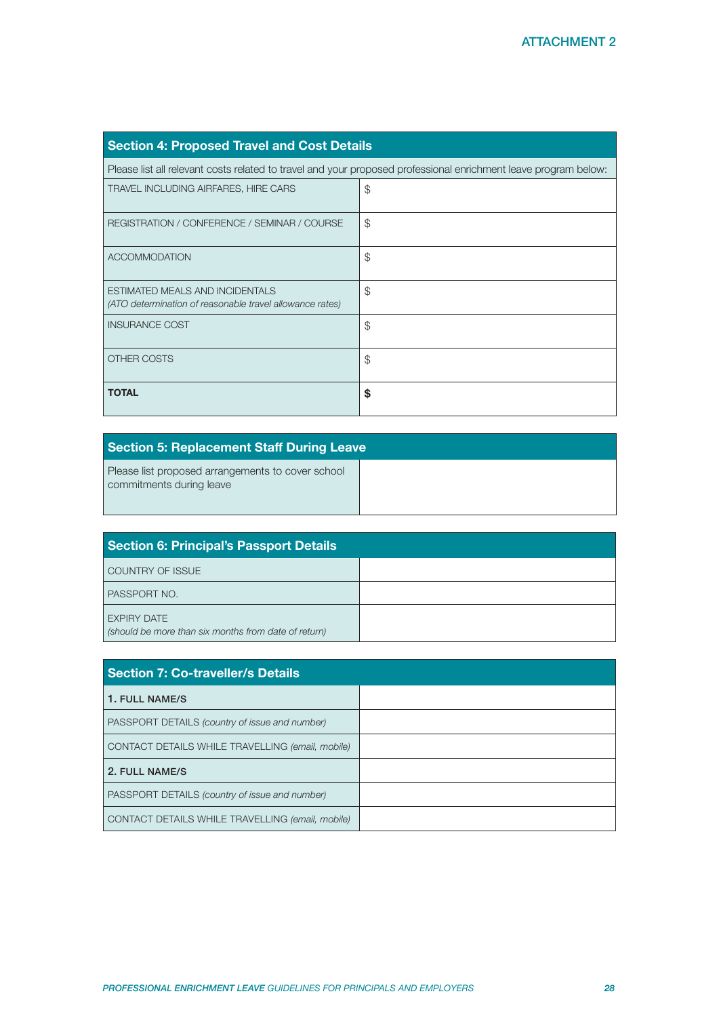| <b>Section 4: Proposed Travel and Cost Details</b>                                                              |               |
|-----------------------------------------------------------------------------------------------------------------|---------------|
| Please list all relevant costs related to travel and your proposed professional enrichment leave program below: |               |
| TRAVEL INCLUDING AIRFARES, HIRE CARS                                                                            | \$            |
| REGISTRATION / CONFERENCE / SEMINAR / COURSE                                                                    | $\mathcal{F}$ |
| <b>ACCOMMODATION</b>                                                                                            | \$            |
| ESTIMATED MEALS AND INCIDENTALS<br>(ATO determination of reasonable travel allowance rates)                     | \$            |
| <b>INSURANCE COST</b>                                                                                           | \$            |
| OTHER COSTS                                                                                                     | \$            |
| <b>TOTAL</b>                                                                                                    | \$            |

| <b>Section 5: Replacement Staff During Leave</b>                              |  |
|-------------------------------------------------------------------------------|--|
| Please list proposed arrangements to cover school<br>commitments during leave |  |

| <b>Section 6: Principal's Passport Details</b>                             |  |
|----------------------------------------------------------------------------|--|
| COUNTRY OF ISSUE                                                           |  |
| PASSPORT NO.                                                               |  |
| <b>EXPIRY DATE</b><br>(should be more than six months from date of return) |  |

| <b>Section 7: Co-traveller/s Details</b>         |  |
|--------------------------------------------------|--|
| 1. FULL NAME/S                                   |  |
| PASSPORT DETAILS (country of issue and number)   |  |
| CONTACT DETAILS WHILE TRAVELLING (email, mobile) |  |
| 2. FULL NAME/S                                   |  |
| PASSPORT DETAILS (country of issue and number)   |  |
| CONTACT DETAILS WHILE TRAVELLING (email, mobile) |  |